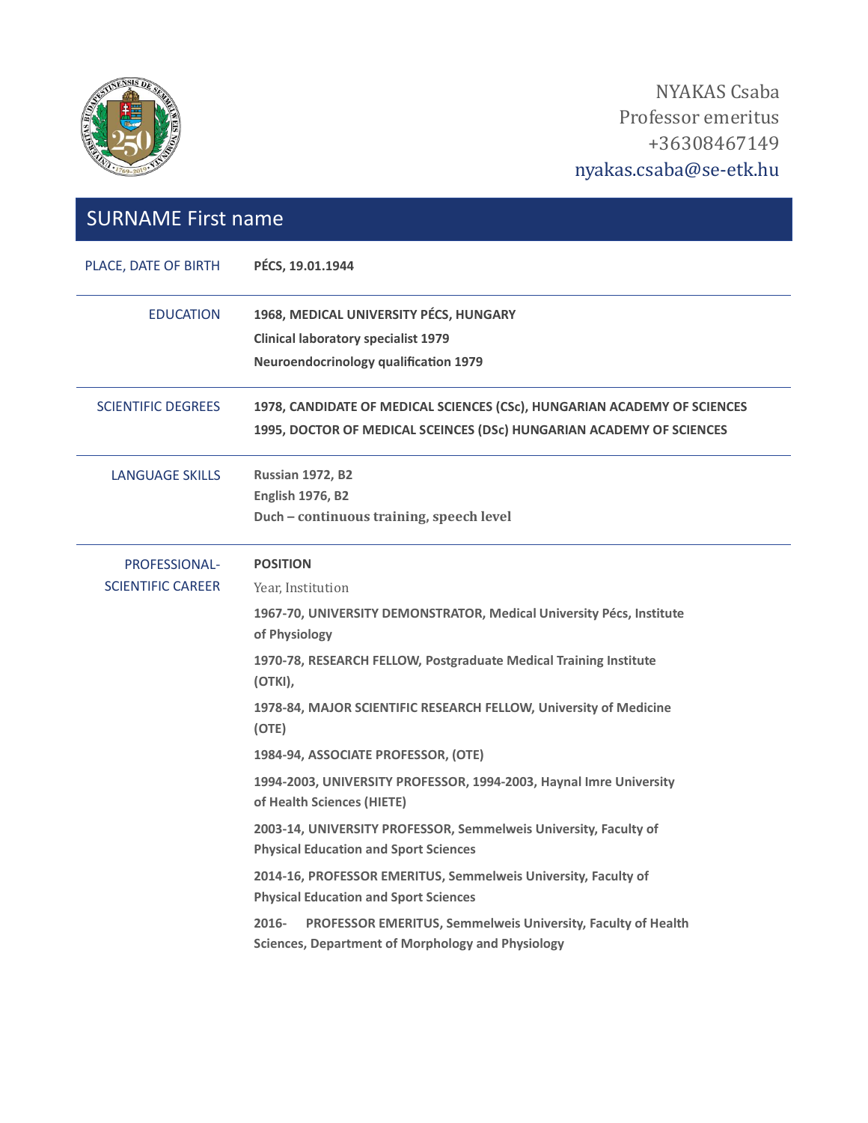

NYAKAS Csaba Professor emeritus +36308467149 nyakas.csaba@se-etk.hu

| <b>SURNAME First name</b>                        |                                                                                                                                                                                                                                                                                                                                                                                                                                                                                                                                                                                                                                                                                                                                                                                                                             |  |
|--------------------------------------------------|-----------------------------------------------------------------------------------------------------------------------------------------------------------------------------------------------------------------------------------------------------------------------------------------------------------------------------------------------------------------------------------------------------------------------------------------------------------------------------------------------------------------------------------------------------------------------------------------------------------------------------------------------------------------------------------------------------------------------------------------------------------------------------------------------------------------------------|--|
| PLACE, DATE OF BIRTH                             | PÉCS, 19.01.1944                                                                                                                                                                                                                                                                                                                                                                                                                                                                                                                                                                                                                                                                                                                                                                                                            |  |
| <b>EDUCATION</b>                                 | 1968, MEDICAL UNIVERSITY PÉCS, HUNGARY<br><b>Clinical laboratory specialist 1979</b><br><b>Neuroendocrinology qualification 1979</b>                                                                                                                                                                                                                                                                                                                                                                                                                                                                                                                                                                                                                                                                                        |  |
| <b>SCIENTIFIC DEGREES</b>                        | 1978, CANDIDATE OF MEDICAL SCIENCES (CSc), HUNGARIAN ACADEMY OF SCIENCES<br>1995, DOCTOR OF MEDICAL SCEINCES (DSc) HUNGARIAN ACADEMY OF SCIENCES                                                                                                                                                                                                                                                                                                                                                                                                                                                                                                                                                                                                                                                                            |  |
| <b>LANGUAGE SKILLS</b>                           | <b>Russian 1972, B2</b><br><b>English 1976, B2</b><br>Duch - continuous training, speech level                                                                                                                                                                                                                                                                                                                                                                                                                                                                                                                                                                                                                                                                                                                              |  |
| <b>PROFESSIONAL-</b><br><b>SCIENTIFIC CAREER</b> | <b>POSITION</b><br>Year, Institution<br>1967-70, UNIVERSITY DEMONSTRATOR, Medical University Pécs, Institute<br>of Physiology<br>1970-78, RESEARCH FELLOW, Postgraduate Medical Training Institute<br>(OTKI),<br>1978-84, MAJOR SCIENTIFIC RESEARCH FELLOW, University of Medicine<br>(OTE)<br>1984-94, ASSOCIATE PROFESSOR, (OTE)<br>1994-2003, UNIVERSITY PROFESSOR, 1994-2003, Haynal Imre University<br>of Health Sciences (HIETE)<br>2003-14, UNIVERSITY PROFESSOR, Semmelweis University, Faculty of<br><b>Physical Education and Sport Sciences</b><br>2014-16, PROFESSOR EMERITUS, Semmelweis University, Faculty of<br><b>Physical Education and Sport Sciences</b><br>$2016 -$<br><b>PROFESSOR EMERITUS, Semmelweis University, Faculty of Health</b><br><b>Sciences, Department of Morphology and Physiology</b> |  |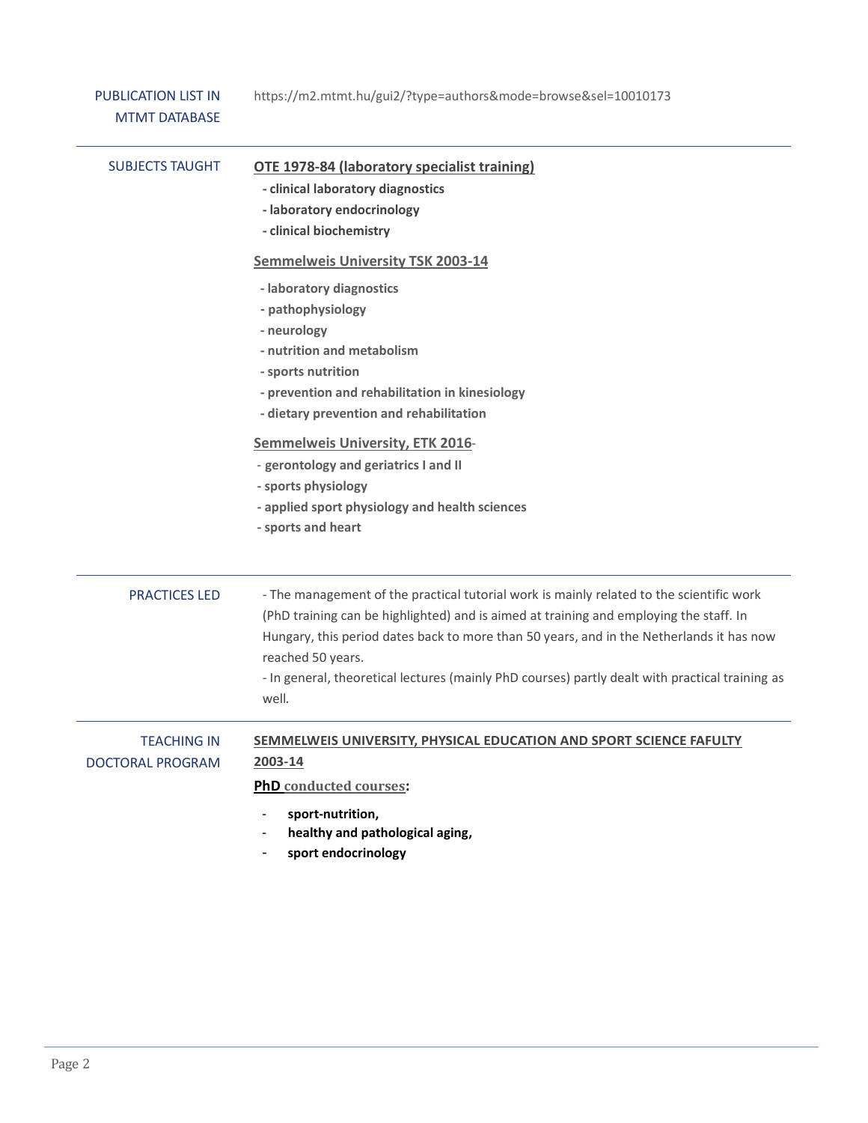| <b>PUBLICATION LIST IN</b><br><b>MTMT DATABASE</b> | https://m2.mtmt.hu/gui2/?type=authors&mode=browse&sel=10010173                                                                                                                                                                                                                                                                                                                                                  |
|----------------------------------------------------|-----------------------------------------------------------------------------------------------------------------------------------------------------------------------------------------------------------------------------------------------------------------------------------------------------------------------------------------------------------------------------------------------------------------|
| <b>SUBJECTS TAUGHT</b>                             | <b>OTE 1978-84 (laboratory specialist training)</b><br>- clinical laboratory diagnostics<br>- laboratory endocrinology<br>- clinical biochemistry                                                                                                                                                                                                                                                               |
|                                                    | <b>Semmelweis University TSK 2003-14</b>                                                                                                                                                                                                                                                                                                                                                                        |
|                                                    | - laboratory diagnostics<br>- pathophysiology<br>- neurology<br>- nutrition and metabolism<br>- sports nutrition<br>- prevention and rehabilitation in kinesiology<br>- dietary prevention and rehabilitation<br><b>Semmelweis University, ETK 2016-</b><br>- gerontology and geriatrics I and II<br>- sports physiology<br>- applied sport physiology and health sciences                                      |
|                                                    | - sports and heart                                                                                                                                                                                                                                                                                                                                                                                              |
| <b>PRACTICES LED</b>                               | - The management of the practical tutorial work is mainly related to the scientific work<br>(PhD training can be highlighted) and is aimed at training and employing the staff. In<br>Hungary, this period dates back to more than 50 years, and in the Netherlands it has now<br>reached 50 years.<br>- In general, theoretical lectures (mainly PhD courses) partly dealt with practical training as<br>well. |
| <b>TEACHING IN</b><br>DOCTORAL PROGRAM             | SEMMELWEIS UNIVERSITY, PHYSICAL EDUCATION AND SPORT SCIENCE FAFULTY<br>2003-14                                                                                                                                                                                                                                                                                                                                  |
|                                                    | <b>PhD</b> conducted courses:                                                                                                                                                                                                                                                                                                                                                                                   |
|                                                    | sport-nutrition,<br>healthy and pathological aging,<br>sport endocrinology                                                                                                                                                                                                                                                                                                                                      |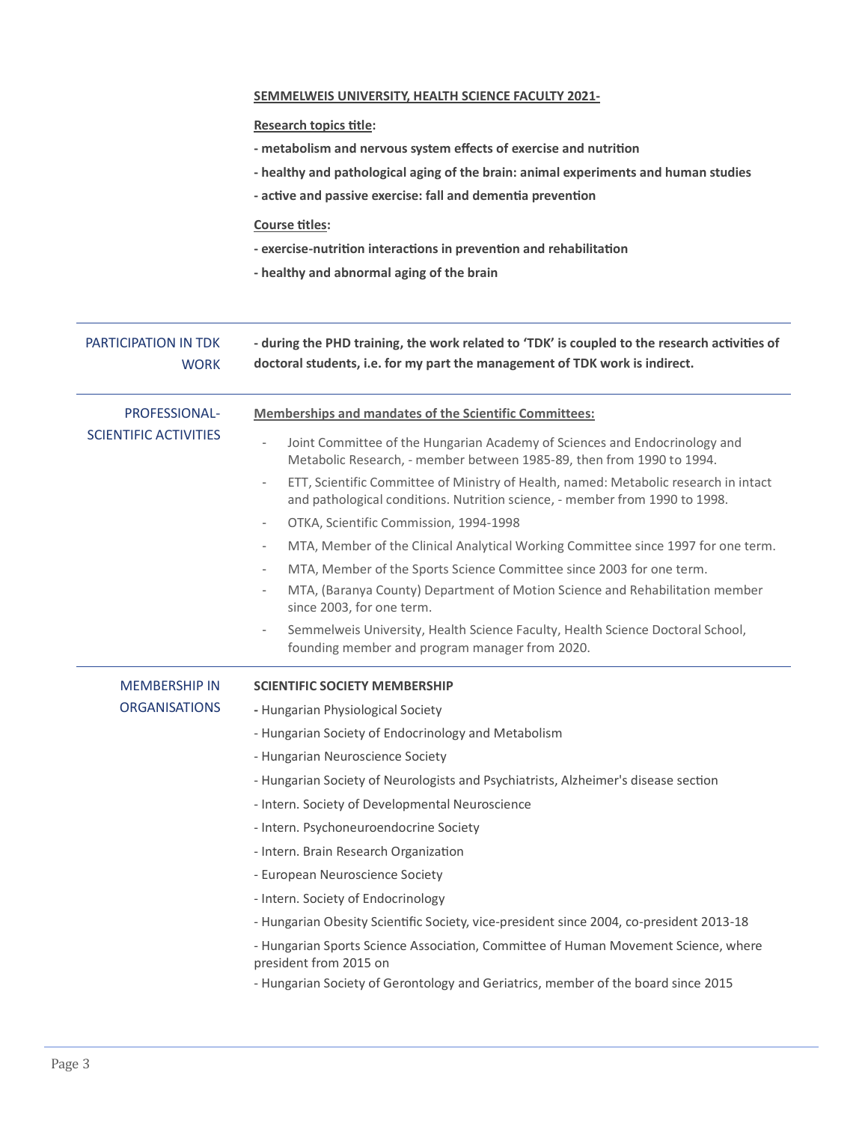|                                               | <b>SEMMELWEIS UNIVERSITY, HEALTH SCIENCE FACULTY 2021-</b>                                                                                                                   |
|-----------------------------------------------|------------------------------------------------------------------------------------------------------------------------------------------------------------------------------|
|                                               | <b>Research topics title:</b>                                                                                                                                                |
|                                               | - metabolism and nervous system effects of exercise and nutrition                                                                                                            |
|                                               | - healthy and pathological aging of the brain: animal experiments and human studies                                                                                          |
|                                               | - active and passive exercise: fall and dementia prevention                                                                                                                  |
|                                               | <b>Course titles:</b>                                                                                                                                                        |
|                                               | - exercise-nutrition interactions in prevention and rehabilitation                                                                                                           |
|                                               | - healthy and abnormal aging of the brain                                                                                                                                    |
|                                               |                                                                                                                                                                              |
| PARTICIPATION IN TDK<br><b>WORK</b>           | - during the PHD training, the work related to 'TDK' is coupled to the research activities of<br>doctoral students, i.e. for my part the management of TDK work is indirect. |
| PROFESSIONAL-<br><b>SCIENTIFIC ACTIVITIES</b> | <b>Memberships and mandates of the Scientific Committees:</b>                                                                                                                |
|                                               | Joint Committee of the Hungarian Academy of Sciences and Endocrinology and<br>Metabolic Research, - member between 1985-89, then from 1990 to 1994.                          |
|                                               | ETT, Scientific Committee of Ministry of Health, named: Metabolic research in intact<br>and pathological conditions. Nutrition science, - member from 1990 to 1998.          |
|                                               | OTKA, Scientific Commission, 1994-1998                                                                                                                                       |
|                                               | MTA, Member of the Clinical Analytical Working Committee since 1997 for one term.<br>$\overline{\phantom{a}}$                                                                |
|                                               | MTA, Member of the Sports Science Committee since 2003 for one term.                                                                                                         |
|                                               | MTA, (Baranya County) Department of Motion Science and Rehabilitation member<br>since 2003, for one term.                                                                    |
|                                               | Semmelweis University, Health Science Faculty, Health Science Doctoral School,<br>founding member and program manager from 2020.                                             |
| <b>MEMBERSHIP IN</b>                          | <b>SCIENTIFIC SOCIETY MEMBERSHIP</b>                                                                                                                                         |
| <b>ORGANISATIONS</b>                          | - Hungarian Physiological Society                                                                                                                                            |
|                                               | - Hungarian Society of Endocrinology and Metabolism                                                                                                                          |
|                                               | - Hungarian Neuroscience Society                                                                                                                                             |
|                                               | - Hungarian Society of Neurologists and Psychiatrists, Alzheimer's disease section                                                                                           |
|                                               | - Intern. Society of Developmental Neuroscience                                                                                                                              |
|                                               | - Intern. Psychoneuroendocrine Society                                                                                                                                       |
|                                               | - Intern. Brain Research Organization                                                                                                                                        |
|                                               | - European Neuroscience Society                                                                                                                                              |
|                                               | - Intern. Society of Endocrinology                                                                                                                                           |
|                                               | - Hungarian Obesity Scientific Society, vice-president since 2004, co-president 2013-18                                                                                      |
|                                               | - Hungarian Sports Science Association, Committee of Human Movement Science, where<br>president from 2015 on                                                                 |
|                                               | - Hungarian Society of Gerontology and Geriatrics, member of the board since 2015                                                                                            |